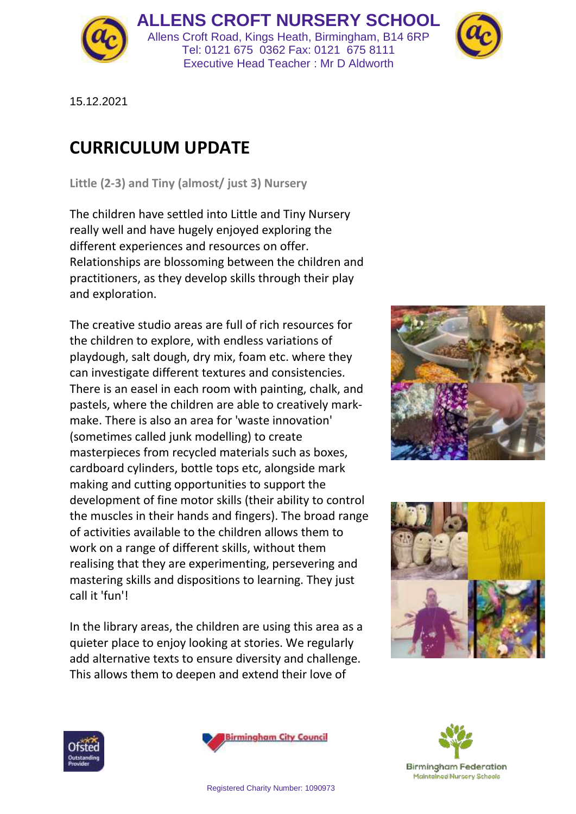

**ALLENS CROFT NURSERY SCHOOL** Allens Croft Road, Kings Heath, Birmingham, B14 6RP Tel: 0121 675 0362 Fax: 0121 675 8111 Executive Head Teacher : Mr D Aldworth



15.12.2021

## **CURRICULUM UPDATE**

**Little (2-3) and Tiny (almost/ just 3) Nursery**

The children have settled into Little and Tiny Nursery really well and have hugely enjoyed exploring the different experiences and resources on offer. Relationships are blossoming between the children and practitioners, as they develop skills through their play and exploration.

The creative studio areas are full of rich resources for the children to explore, with endless variations of playdough, salt dough, dry mix, foam etc. where they can investigate different textures and consistencies. There is an easel in each room with painting, chalk, and pastels, where the children are able to creatively markmake. There is also an area for 'waste innovation' (sometimes called junk modelling) to create masterpieces from recycled materials such as boxes, cardboard cylinders, bottle tops etc, alongside mark making and cutting opportunities to support the development of fine motor skills (their ability to control the muscles in their hands and fingers). The broad range of activities available to the children allows them to work on a range of different skills, without them realising that they are experimenting, persevering and mastering skills and dispositions to learning. They just call it 'fun'!

In the library areas, the children are using this area as a quieter place to enjoy looking at stories. We regularly add alternative texts to ensure diversity and challenge. This allows them to deepen and extend their love of









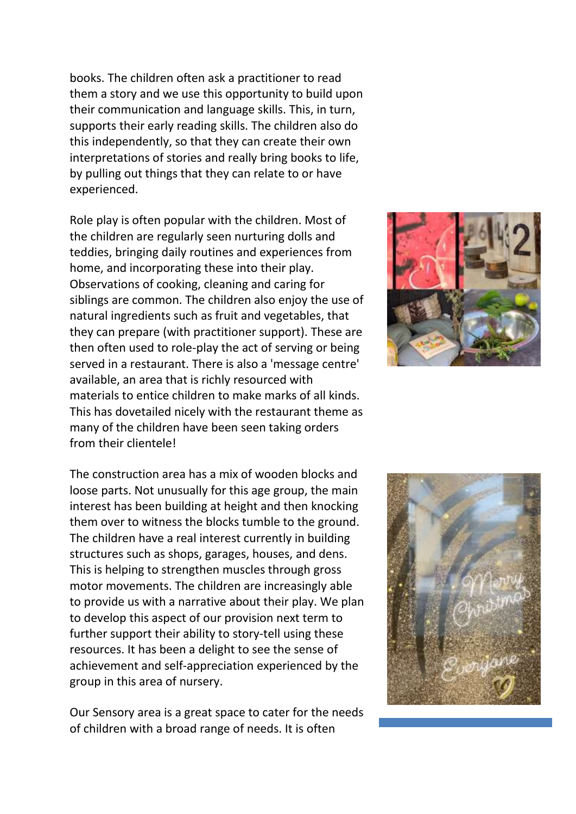books. The children often ask a practitioner to read them a story and we use this opportunity to build upon their communication and language skills. This, in turn, supports their early reading skills. The children also do this independently, so that they can create their own interpretations of stories and really bring books to life, by pulling out things that they can relate to or have experienced.

Role play is often popular with the children. Most of the children are regularly seen nurturing dolls and teddies, bringing daily routines and experiences from home, and incorporating these into their play. Observations of cooking, cleaning and caring for siblings are common. The children also enjoy the use of natural ingredients such as fruit and vegetables, that they can prepare (with practitioner support). These are then often used to role-play the act of serving or being served in a restaurant. There is also a 'message centre' available, an area that is richly resourced with materials to entice children to make marks of all kinds. This has dovetailed nicely with the restaurant theme as many of the children have been seen taking orders from their clientele!

The construction area has a mix of wooden blocks and loose parts. Not unusually for this age group, the main interest has been building at height and then knocking them over to witness the blocks tumble to the ground. The children have a real interest currently in building structures such as shops, garages, houses, and dens. This is helping to strengthen muscles through gross motor movements. The children are increasingly able to provide us with a narrative about their play. We plan to develop this aspect of our provision next term to further support their ability to story-tell using these resources. It has been a delight to see the sense of achievement and self-appreciation experienced by the group in this area of nursery.

Our Sensory area is a great space to cater for the needs of children with a broad range of needs. It is often



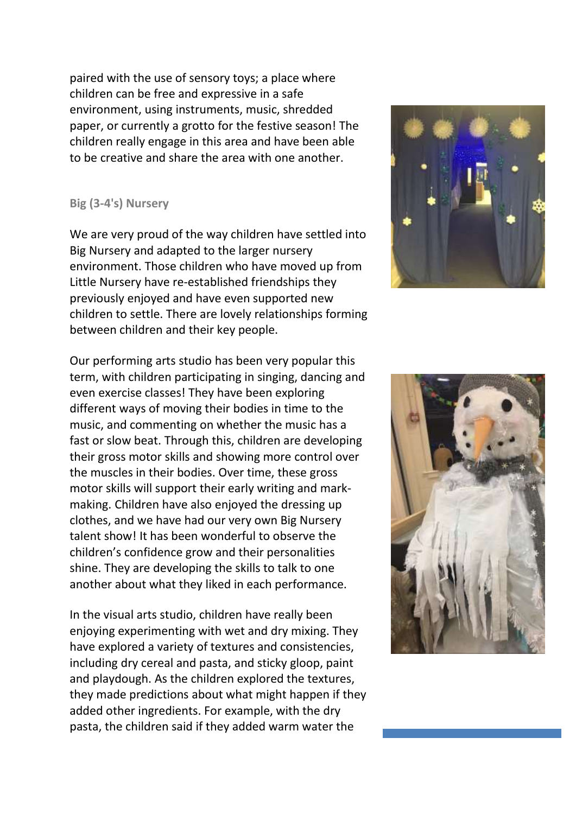paired with the use of sensory toys; a place where children can be free and expressive in a safe environment, using instruments, music, shredded paper, or currently a grotto for the festive season! The children really engage in this area and have been able to be creative and share the area with one another.

## **Big (3-4's) Nursery**

We are very proud of the way children have settled into Big Nursery and adapted to the larger nursery environment. Those children who have moved up from Little Nursery have re-established friendships they previously enjoyed and have even supported new children to settle. There are lovely relationships forming between children and their key people.

Our performing arts studio has been very popular this term, with children participating in singing, dancing and even exercise classes! They have been exploring different ways of moving their bodies in time to the music, and commenting on whether the music has a fast or slow beat. Through this, children are developing their gross motor skills and showing more control over the muscles in their bodies. Over time, these gross motor skills will support their early writing and markmaking. Children have also enjoyed the dressing up clothes, and we have had our very own Big Nursery talent show! It has been wonderful to observe the children's confidence grow and their personalities shine. They are developing the skills to talk to one another about what they liked in each performance.

In the visual arts studio, children have really been enjoying experimenting with wet and dry mixing. They have explored a variety of textures and consistencies, including dry cereal and pasta, and sticky gloop, paint and playdough. As the children explored the textures, they made predictions about what might happen if they added other ingredients. For example, with the dry pasta, the children said if they added warm water the



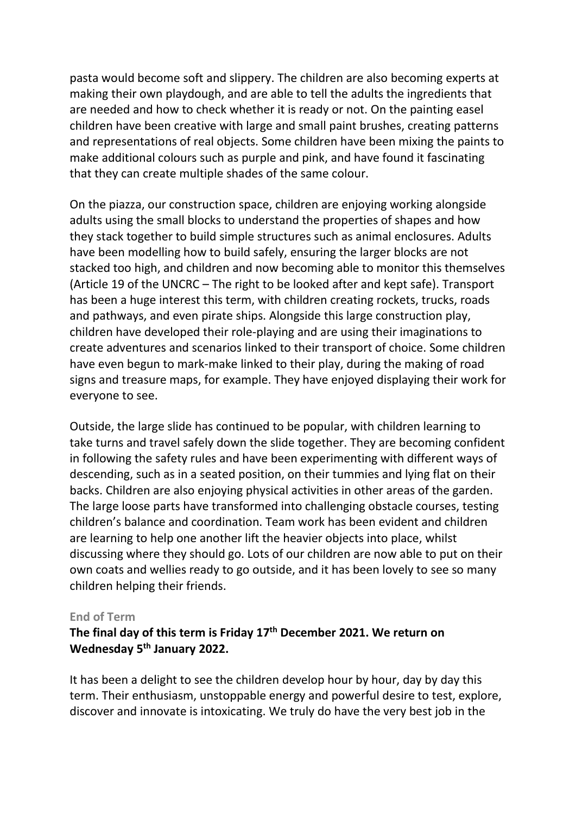pasta would become soft and slippery. The children are also becoming experts at making their own playdough, and are able to tell the adults the ingredients that are needed and how to check whether it is ready or not. On the painting easel children have been creative with large and small paint brushes, creating patterns and representations of real objects. Some children have been mixing the paints to make additional colours such as purple and pink, and have found it fascinating that they can create multiple shades of the same colour.

On the piazza, our construction space, children are enjoying working alongside adults using the small blocks to understand the properties of shapes and how they stack together to build simple structures such as animal enclosures. Adults have been modelling how to build safely, ensuring the larger blocks are not stacked too high, and children and now becoming able to monitor this themselves (Article 19 of the UNCRC – The right to be looked after and kept safe). Transport has been a huge interest this term, with children creating rockets, trucks, roads and pathways, and even pirate ships. Alongside this large construction play, children have developed their role-playing and are using their imaginations to create adventures and scenarios linked to their transport of choice. Some children have even begun to mark-make linked to their play, during the making of road signs and treasure maps, for example. They have enjoyed displaying their work for everyone to see.

Outside, the large slide has continued to be popular, with children learning to take turns and travel safely down the slide together. They are becoming confident in following the safety rules and have been experimenting with different ways of descending, such as in a seated position, on their tummies and lying flat on their backs. Children are also enjoying physical activities in other areas of the garden. The large loose parts have transformed into challenging obstacle courses, testing children's balance and coordination. Team work has been evident and children are learning to help one another lift the heavier objects into place, whilst discussing where they should go. Lots of our children are now able to put on their own coats and wellies ready to go outside, and it has been lovely to see so many children helping their friends.

## **End of Term**

## **The final day of this term is Friday 17th December 2021. We return on Wednesday 5 th January 2022.**

It has been a delight to see the children develop hour by hour, day by day this term. Their enthusiasm, unstoppable energy and powerful desire to test, explore, discover and innovate is intoxicating. We truly do have the very best job in the